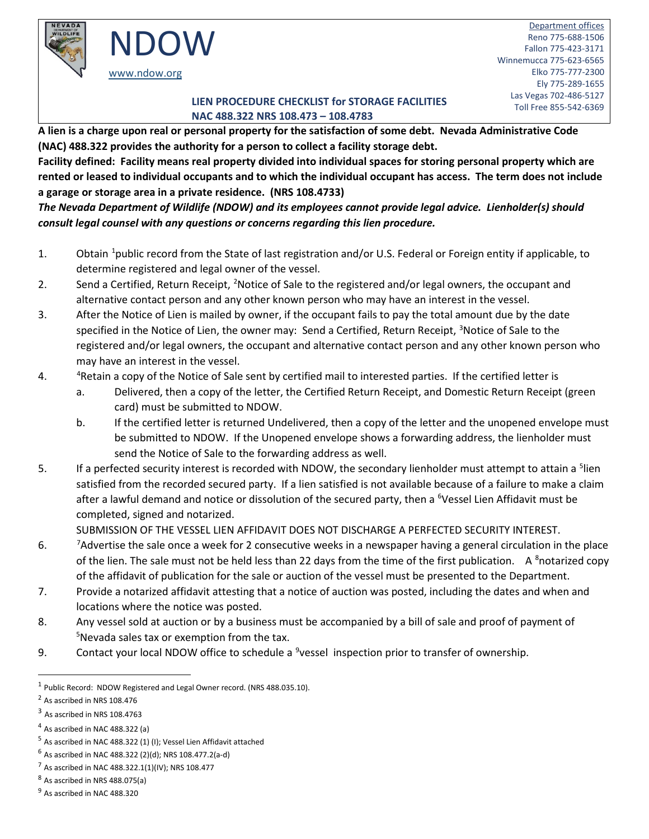

#### **TOLL FREE CHECKLIST FOR STORAGE FACILITIES NAC 488.322 NRS 108.473 – 108.4783**

**A lien is a charge upon real or personal property for the satisfaction of some debt. Nevada Administrative Code (NAC) 488.322 provides the authority for a person to collect a facility storage debt.**

**Facility defined: Facility means real property divided into individual spaces for storing personal property which are rented or leased to individual occupants and to which the individual occupant has access. The term does not include a garage or storage area in a private residence. (NRS 108.4733)**

*The Nevada Department of Wildlife (NDOW) and its employees cannot provide legal advice. Lienholder(s) should consult legal counsel with any questions or concerns regarding this lien procedure.* 

- [1](#page-0-0). Obtain <sup>1</sup>public record from the State of last registration and/or U.S. Federal or Foreign entity if applicable, to determine registered and legal owner of the vessel.
- 2. Send a Certified, Return Receipt, <sup>2</sup>Notice of Sale to the registered and/or legal owners, the occupant and alternative contact person and any other known person who may have an interest in the vessel.
- 3. After the Notice of Lien is mailed by owner, if the occupant fails to pay the total amount due by the date specified in the Notice of Lien, the owner may: Send a Certified, Return Receipt, <sup>[3](#page-0-2)</sup>Notice of Sale to the registered and/or legal owners, the occupant and alternative contact person and any other known person who may have an interest in the vessel.
- 4. [4](#page-0-3) <sup>4</sup> Retain a copy of the Notice of Sale sent by certified mail to interested parties. If the certified letter is
	- a. Delivered, then a copy of the letter, the Certified Return Receipt, and Domestic Return Receipt (green card) must be submitted to NDOW.
	- b. If the certified letter is returned Undelivered, then a copy of the letter and the unopened envelope must be submitted to NDOW. If the Unopened envelope shows a forwarding address, the lienholder must send the Notice of Sale to the forwarding address as well.
- [5](#page-0-4). If a perfected security interest is recorded with NDOW, the secondary lienholder must attempt to attain a <sup>5</sup>lien satisfied from the recorded secured party. If a lien satisfied is not available because of a failure to make a claim after a lawful demand and notice or dissolution of the secured party, then a <sup>[6](#page-0-5)</sup>Vessel Lien Affidavit must be completed, signed and notarized.

SUBMISSION OF THE VESSEL LIEN AFFIDAVIT DOES NOT DISCHARGE A PERFECTED SECURITY INTEREST.

- 6. <sup>7</sup> Advertise the sale once a week for 2 consecutive weeks in a newspaper having a general circulation in the place of the lien. The sale must not be held less than 22 days from the time of the first publication. A <sup>[8](#page-0-7)</sup>notarized copy of the affidavit of publication for the sale or auction of the vessel must be presented to the Department.
- 7. Provide a notarized affidavit attesting that a notice of auction was posted, including the dates and when and locations where the notice was posted.
- 8. Any vessel sold at auction or by a business must be accompanied by a bill of sale and proof of payment of 5 Nevada sales tax or exemption from the tax.
- [9](#page-0-8). Contact your local NDOW office to schedule a <sup>9</sup>vessel inspection prior to transfer of ownership.

<span id="page-0-0"></span><sup>1</sup> Public Record: NDOW Registered and Legal Owner record. (NRS 488.035.10).

<span id="page-0-1"></span><sup>2</sup> As ascribed in NRS 108.476

<span id="page-0-2"></span><sup>&</sup>lt;sup>3</sup> As ascribed in NRS 108.4763

<span id="page-0-3"></span><sup>4</sup> As ascribed in NAC 488.322 (a)

<span id="page-0-4"></span> $5$  As ascribed in NAC 488.322 (1) (I); Vessel Lien Affidavit attached

<span id="page-0-5"></span> $6$  As ascribed in NAC 488.322 (2)(d); NRS 108.477.2(a-d)

<span id="page-0-6"></span><sup>&</sup>lt;sup>7</sup> As ascribed in NAC 488.322.1(1)(IV); NRS 108.477

<span id="page-0-7"></span> $8$  As ascribed in NRS 488.075(a)

<span id="page-0-8"></span><sup>9</sup> As ascribed in NAC 488.320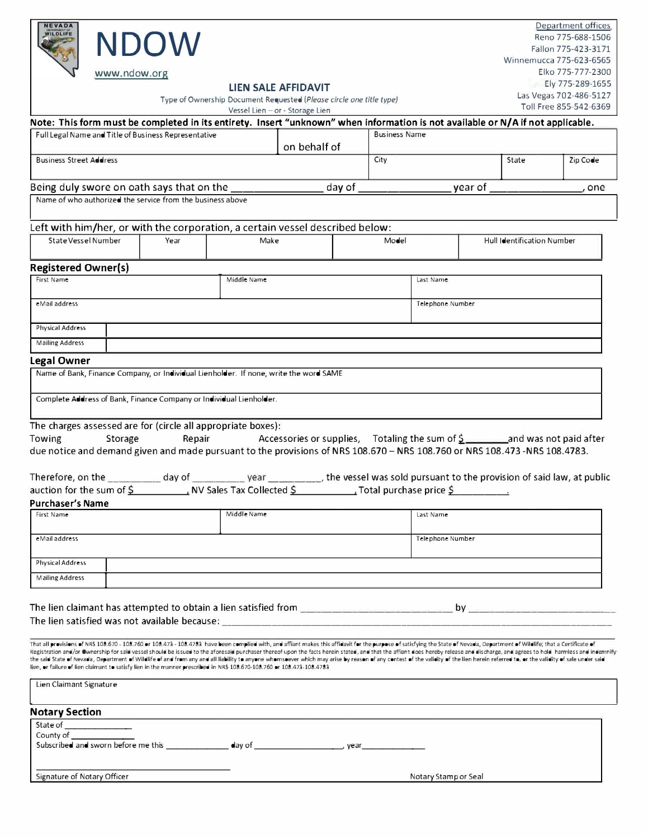| <b>NEVADA</b><br>WILDLIFE                                                                                                                                                                                                                                                                                                                                                                                                                                        | <b>NDOW</b><br>www.ndow.org |             |                                 |               |                      |                                                  |                        |                            | Department offices.<br>Reno 775-688-1506<br>Fallon 775-423-3171<br>Winnemucca 775-623-6565<br>Elko 775-777-2300 |  |
|------------------------------------------------------------------------------------------------------------------------------------------------------------------------------------------------------------------------------------------------------------------------------------------------------------------------------------------------------------------------------------------------------------------------------------------------------------------|-----------------------------|-------------|---------------------------------|---------------|----------------------|--------------------------------------------------|------------------------|----------------------------|-----------------------------------------------------------------------------------------------------------------|--|
|                                                                                                                                                                                                                                                                                                                                                                                                                                                                  |                             |             | LIEN SALE AFFIDAVIT             |               |                      |                                                  |                        |                            | Ely 775-289-1655                                                                                                |  |
| Type of Ownership Document Requested (Please circle one title type)                                                                                                                                                                                                                                                                                                                                                                                              |                             |             |                                 |               |                      |                                                  | Las Vegas 702-486-5127 |                            |                                                                                                                 |  |
|                                                                                                                                                                                                                                                                                                                                                                                                                                                                  |                             |             | Vessel Lien - or - Storage Lien |               |                      |                                                  |                        |                            | Toll Free 855-542-6369                                                                                          |  |
| Note: This form must be completed in its entirety. Insert "unknown" when information is not available or N/A if not applicable.                                                                                                                                                                                                                                                                                                                                  |                             |             |                                 |               |                      |                                                  |                        |                            |                                                                                                                 |  |
| Full Legal Name and Title of Business Representative                                                                                                                                                                                                                                                                                                                                                                                                             |                             |             |                                 |               | <b>Business Name</b> |                                                  |                        |                            |                                                                                                                 |  |
|                                                                                                                                                                                                                                                                                                                                                                                                                                                                  |                             |             | on behalf of                    |               |                      |                                                  |                        |                            |                                                                                                                 |  |
| <b>Business Street Address</b>                                                                                                                                                                                                                                                                                                                                                                                                                                   |                             |             |                                 |               | City                 |                                                  |                        | State                      | Zip Code                                                                                                        |  |
| Being duly swore on oath says that on the                                                                                                                                                                                                                                                                                                                                                                                                                        |                             |             |                                 | day of $\_\_$ |                      |                                                  | year of                |                            | one                                                                                                             |  |
| Name of who authorized the service from the business above                                                                                                                                                                                                                                                                                                                                                                                                       |                             |             |                                 |               |                      |                                                  |                        |                            |                                                                                                                 |  |
|                                                                                                                                                                                                                                                                                                                                                                                                                                                                  |                             |             |                                 |               |                      |                                                  |                        |                            |                                                                                                                 |  |
| Left with him/her, or with the corporation, a certain vessel described below:                                                                                                                                                                                                                                                                                                                                                                                    |                             |             |                                 |               |                      |                                                  |                        |                            |                                                                                                                 |  |
| State Vessel Number                                                                                                                                                                                                                                                                                                                                                                                                                                              | Year                        | Make        |                                 |               | Model                |                                                  |                        | Hull Identification Number |                                                                                                                 |  |
|                                                                                                                                                                                                                                                                                                                                                                                                                                                                  |                             |             |                                 |               |                      |                                                  |                        |                            |                                                                                                                 |  |
| <b>Registered Owner(s)</b>                                                                                                                                                                                                                                                                                                                                                                                                                                       |                             |             |                                 |               |                      |                                                  |                        |                            |                                                                                                                 |  |
| First Name                                                                                                                                                                                                                                                                                                                                                                                                                                                       |                             | Middle Name |                                 |               |                      | Last Name                                        |                        |                            |                                                                                                                 |  |
|                                                                                                                                                                                                                                                                                                                                                                                                                                                                  |                             |             |                                 |               |                      |                                                  |                        |                            |                                                                                                                 |  |
| eMail address                                                                                                                                                                                                                                                                                                                                                                                                                                                    |                             |             |                                 |               |                      | <b>Telephone Number</b>                          |                        |                            |                                                                                                                 |  |
| <b>Physical Address</b>                                                                                                                                                                                                                                                                                                                                                                                                                                          |                             |             |                                 |               |                      |                                                  |                        |                            |                                                                                                                 |  |
|                                                                                                                                                                                                                                                                                                                                                                                                                                                                  |                             |             |                                 |               |                      |                                                  |                        |                            |                                                                                                                 |  |
| <b>Mailing Address</b>                                                                                                                                                                                                                                                                                                                                                                                                                                           |                             |             |                                 |               |                      |                                                  |                        |                            |                                                                                                                 |  |
| Legal Owner                                                                                                                                                                                                                                                                                                                                                                                                                                                      |                             |             |                                 |               |                      |                                                  |                        |                            |                                                                                                                 |  |
| Name of Bank, Finance Company, or Individual Lienholder. If none, write the word SAME                                                                                                                                                                                                                                                                                                                                                                            |                             |             |                                 |               |                      |                                                  |                        |                            |                                                                                                                 |  |
|                                                                                                                                                                                                                                                                                                                                                                                                                                                                  |                             |             |                                 |               |                      |                                                  |                        |                            |                                                                                                                 |  |
| Complete Address of Bank, Finance Company or Individual Lienholder.                                                                                                                                                                                                                                                                                                                                                                                              |                             |             |                                 |               |                      |                                                  |                        |                            |                                                                                                                 |  |
| The charges assessed are for (circle all appropriate boxes):                                                                                                                                                                                                                                                                                                                                                                                                     |                             |             |                                 |               |                      |                                                  |                        |                            |                                                                                                                 |  |
| Storage<br>Towing                                                                                                                                                                                                                                                                                                                                                                                                                                                | Repair                      |             |                                 |               |                      |                                                  |                        |                            |                                                                                                                 |  |
| due notice and demand given and made pursuant to the provisions of NRS 108.670 - NRS 108.760 or NRS 108.473 -NRS 108.4783.                                                                                                                                                                                                                                                                                                                                       |                             |             |                                 |               |                      |                                                  |                        |                            |                                                                                                                 |  |
|                                                                                                                                                                                                                                                                                                                                                                                                                                                                  |                             |             |                                 |               |                      |                                                  |                        |                            |                                                                                                                 |  |
|                                                                                                                                                                                                                                                                                                                                                                                                                                                                  |                             |             |                                 |               |                      |                                                  |                        |                            |                                                                                                                 |  |
| auction for the sum of \$ NV Sales Tax Collected \$                                                                                                                                                                                                                                                                                                                                                                                                              |                             |             |                                 |               |                      | $\frac{1}{2}$ Total purchase price $\frac{5}{2}$ |                        |                            |                                                                                                                 |  |
| <b>Purchaser's Name</b>                                                                                                                                                                                                                                                                                                                                                                                                                                          |                             |             |                                 |               |                      |                                                  |                        |                            |                                                                                                                 |  |
| <b>First Name</b>                                                                                                                                                                                                                                                                                                                                                                                                                                                |                             | Middle Name |                                 |               |                      | Last Name                                        |                        |                            |                                                                                                                 |  |
|                                                                                                                                                                                                                                                                                                                                                                                                                                                                  |                             |             |                                 |               |                      |                                                  |                        |                            |                                                                                                                 |  |
| eMail address                                                                                                                                                                                                                                                                                                                                                                                                                                                    |                             |             |                                 |               |                      | Telephone Number                                 |                        |                            |                                                                                                                 |  |
| Physical Address                                                                                                                                                                                                                                                                                                                                                                                                                                                 |                             |             |                                 |               |                      |                                                  |                        |                            |                                                                                                                 |  |
| <b>Mailing Address</b>                                                                                                                                                                                                                                                                                                                                                                                                                                           |                             |             |                                 |               |                      |                                                  |                        |                            |                                                                                                                 |  |
|                                                                                                                                                                                                                                                                                                                                                                                                                                                                  |                             |             |                                 |               |                      |                                                  |                        |                            |                                                                                                                 |  |
|                                                                                                                                                                                                                                                                                                                                                                                                                                                                  |                             |             |                                 |               |                      |                                                  |                        |                            |                                                                                                                 |  |
|                                                                                                                                                                                                                                                                                                                                                                                                                                                                  |                             |             |                                 |               |                      |                                                  |                        |                            |                                                                                                                 |  |
|                                                                                                                                                                                                                                                                                                                                                                                                                                                                  |                             |             |                                 |               |                      |                                                  |                        |                            |                                                                                                                 |  |
| That all provisions of NRS 108.670 - 108.760 or 108.473 - 108.4783 have been complied with, and affiant makes this affidavit for the purpose of satisfying the State of Nevada, Department of Wildlife, that a Certificate of                                                                                                                                                                                                                                    |                             |             |                                 |               |                      |                                                  |                        |                            |                                                                                                                 |  |
| Registration and/or Ownership for said vessel should be issued to the aforesaid purchaser thereof upon the facts herein stated, and that the affiant does hereby release and discharge, and agrees to hold harmless and indemn<br>the said State of Nevada, Department of Wildlife of and from any and all liability to anyone whomsoever which may arise by reason of any contest of the validity of the lien herein referred to, or the validity of sale under |                             |             |                                 |               |                      |                                                  |                        |                            |                                                                                                                 |  |
| lien, or failure of lien claimant to satisfy lien in the manner prescribed in NR\$ 108.670-108.760 or 108.473-108.4783                                                                                                                                                                                                                                                                                                                                           |                             |             |                                 |               |                      |                                                  |                        |                            |                                                                                                                 |  |
| Lien Claimant Signature                                                                                                                                                                                                                                                                                                                                                                                                                                          |                             |             |                                 |               |                      |                                                  |                        |                            |                                                                                                                 |  |
|                                                                                                                                                                                                                                                                                                                                                                                                                                                                  |                             |             |                                 |               |                      |                                                  |                        |                            |                                                                                                                 |  |
| <b>Notary Section</b>                                                                                                                                                                                                                                                                                                                                                                                                                                            |                             |             |                                 |               |                      |                                                  |                        |                            |                                                                                                                 |  |
|                                                                                                                                                                                                                                                                                                                                                                                                                                                                  |                             |             |                                 |               |                      |                                                  |                        |                            |                                                                                                                 |  |
| County of                                                                                                                                                                                                                                                                                                                                                                                                                                                        |                             |             |                                 |               |                      |                                                  |                        |                            |                                                                                                                 |  |
|                                                                                                                                                                                                                                                                                                                                                                                                                                                                  |                             |             |                                 |               |                      |                                                  |                        |                            |                                                                                                                 |  |
|                                                                                                                                                                                                                                                                                                                                                                                                                                                                  |                             |             |                                 |               |                      |                                                  |                        |                            |                                                                                                                 |  |
| Signature of Notary Officer                                                                                                                                                                                                                                                                                                                                                                                                                                      |                             |             |                                 |               |                      | Notary Stamp or Seal                             |                        |                            |                                                                                                                 |  |
|                                                                                                                                                                                                                                                                                                                                                                                                                                                                  |                             |             |                                 |               |                      |                                                  |                        |                            |                                                                                                                 |  |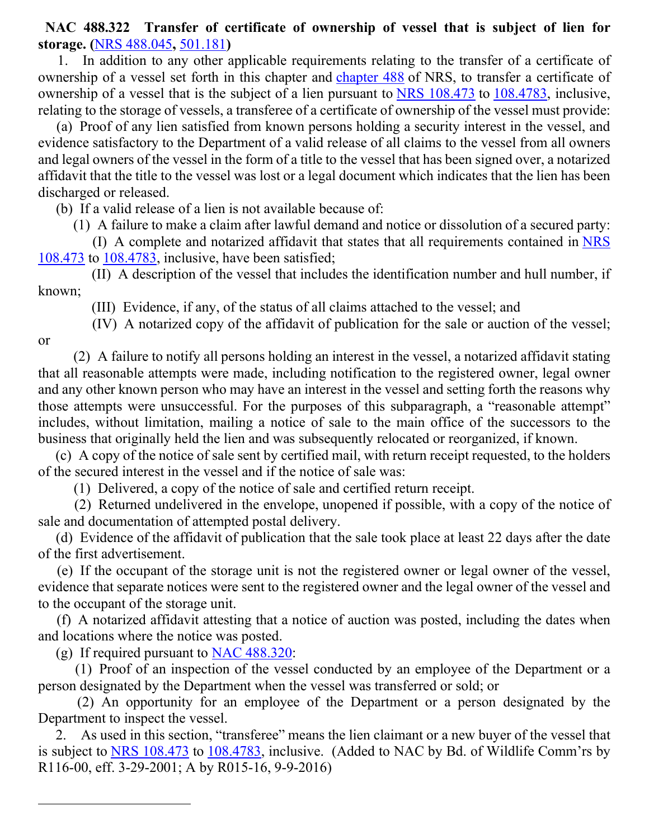**NAC 488.322 Transfer of certificate of ownership of vessel that is subject of lien for storage. (**[NRS 488.045](https://www.leg.state.nv.us/NRS/NRS-488.html#NRS488Sec045)**,** [501.181](https://www.leg.state.nv.us/NRS/NRS-501.html#NRS501Sec181)**)**

 1. In addition to any other applicable requirements relating to the transfer of a certificate of ownership of a vessel set forth in this chapter and [chapter 488](https://www.leg.state.nv.us/NRS/NRS-488.html#NRS488) of NRS, to transfer a certificate of ownership of a vessel that is the subject of a lien pursuant to [NRS 108.473](https://www.leg.state.nv.us/NRS/NRS-108.html#NRS108Sec473) to [108.4783,](https://www.leg.state.nv.us/NRS/NRS-108.html#NRS108Sec4783) inclusive, relating to the storage of vessels, a transferee of a certificate of ownership of the vessel must provide:

 (a) Proof of any lien satisfied from known persons holding a security interest in the vessel, and evidence satisfactory to the Department of a valid release of all claims to the vessel from all owners and legal owners of the vessel in the form of a title to the vessel that has been signed over, a notarized affidavit that the title to the vessel was lost or a legal document which indicates that the lien has been discharged or released.

(b) If a valid release of a lien is not available because of:

(1) A failure to make a claim after lawful demand and notice or dissolution of a secured party:

 (I) A complete and notarized affidavit that states that all requirements contained in [NRS](https://www.leg.state.nv.us/NRS/NRS-108.html#NRS108Sec473)  [108.473](https://www.leg.state.nv.us/NRS/NRS-108.html#NRS108Sec473) to [108.4783,](https://www.leg.state.nv.us/NRS/NRS-108.html#NRS108Sec4783) inclusive, have been satisfied;

 (II) A description of the vessel that includes the identification number and hull number, if known;

(III) Evidence, if any, of the status of all claims attached to the vessel; and

(IV) A notarized copy of the affidavit of publication for the sale or auction of the vessel;

or

 (2) A failure to notify all persons holding an interest in the vessel, a notarized affidavit stating that all reasonable attempts were made, including notification to the registered owner, legal owner and any other known person who may have an interest in the vessel and setting forth the reasons why those attempts were unsuccessful. For the purposes of this subparagraph, a "reasonable attempt" includes, without limitation, mailing a notice of sale to the main office of the successors to the business that originally held the lien and was subsequently relocated or reorganized, if known.

 (c) A copy of the notice of sale sent by certified mail, with return receipt requested, to the holders of the secured interest in the vessel and if the notice of sale was:

(1) Delivered, a copy of the notice of sale and certified return receipt.

 (2) Returned undelivered in the envelope, unopened if possible, with a copy of the notice of sale and documentation of attempted postal delivery.

 (d) Evidence of the affidavit of publication that the sale took place at least 22 days after the date of the first advertisement.

 (e) If the occupant of the storage unit is not the registered owner or legal owner of the vessel, evidence that separate notices were sent to the registered owner and the legal owner of the vessel and to the occupant of the storage unit.

 (f) A notarized affidavit attesting that a notice of auction was posted, including the dates when and locations where the notice was posted.

(g) If required pursuant to [NAC 488.320:](https://www.leg.state.nv.us/nac/nac-488.html#NAC488Sec320)

 (1) Proof of an inspection of the vessel conducted by an employee of the Department or a person designated by the Department when the vessel was transferred or sold; or

 (2) An opportunity for an employee of the Department or a person designated by the Department to inspect the vessel.

 2. As used in this section, "transferee" means the lien claimant or a new buyer of the vessel that is subject to [NRS 108.473](https://www.leg.state.nv.us/NRS/NRS-108.html#NRS108Sec473) to [108.4783,](https://www.leg.state.nv.us/NRS/NRS-108.html#NRS108Sec4783) inclusive. (Added to NAC by Bd. of Wildlife Comm'rs by R116-00, eff. 3-29-2001; A by R015-16, 9-9-2016)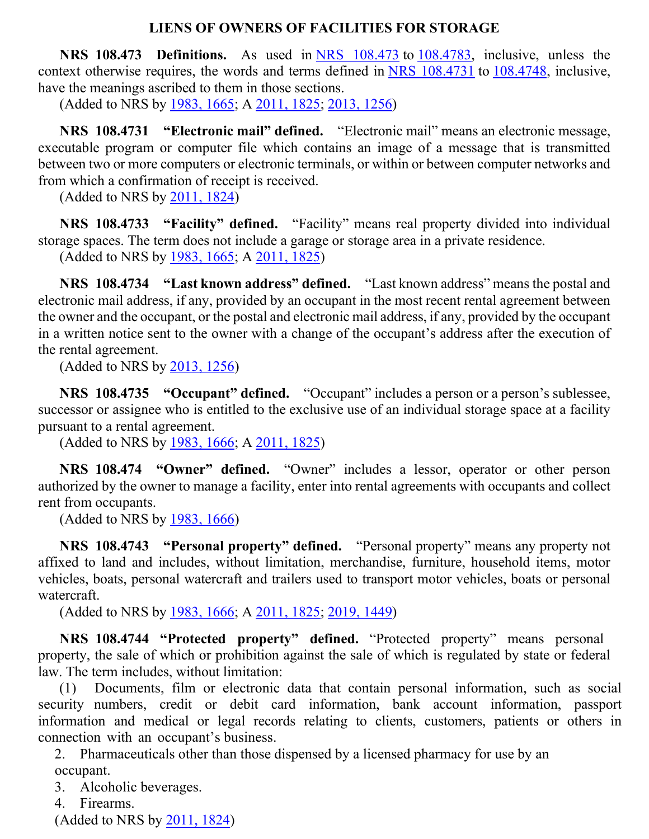#### **LIENS OF OWNERS OF FACILITIES FOR STORAGE**

 **NRS 108.473 Definitions.** As used in [NRS 108.473](https://www.leg.state.nv.us/nrs/nrs-108.html#NRS108Sec473) to [108.4783,](https://www.leg.state.nv.us/nrs/nrs-108.html#NRS108Sec4783) inclusive, unless the context otherwise requires, the words and terms defined in [NRS 108.4731](https://www.leg.state.nv.us/nrs/nrs-108.html#NRS108Sec4731) to [108.4748,](https://www.leg.state.nv.us/nrs/nrs-108.html#NRS108Sec4748) inclusive, have the meanings ascribed to them in those sections.

(Added to NRS by [1983, 1665;](https://www.leg.state.nv.us/Statutes/62nd/Stats198307.html#Stats198307page1665) A [2011, 1825;](https://www.leg.state.nv.us/Statutes/76th2011/Stats201115.html#Stats201115page1825) [2013, 1256\)](https://www.leg.state.nv.us/Statutes/77th2013/Stats201308.html#Stats201308page1256)

 **NRS 108.4731 "Electronic mail" defined.** "Electronic mail" means an electronic message, executable program or computer file which contains an image of a message that is transmitted between two or more computers or electronic terminals, or within or between computer networks and from which a confirmation of receipt is received.

(Added to NRS by [2011, 1824\)](https://www.leg.state.nv.us/Statutes/76th2011/Stats201115.html#Stats201115page1824)

 **NRS 108.4733 "Facility" defined.** "Facility" means real property divided into individual storage spaces. The term does not include a garage or storage area in a private residence.

(Added to NRS by [1983, 1665;](https://www.leg.state.nv.us/Statutes/62nd/Stats198307.html#Stats198307page1665) A [2011, 1825\)](https://www.leg.state.nv.us/Statutes/76th2011/Stats201115.html#Stats201115page1825)

 **NRS 108.4734 "Last known address" defined.** "Last known address" means the postal and electronic mail address, if any, provided by an occupant in the most recent rental agreement between the owner and the occupant, or the postal and electronic mail address, if any, provided by the occupant in a written notice sent to the owner with a change of the occupant's address after the execution of the rental agreement.

(Added to NRS by [2013, 1256\)](https://www.leg.state.nv.us/Statutes/77th2013/Stats201308.html#Stats201308page1256)

 **NRS 108.4735 "Occupant" defined.** "Occupant" includes a person or a person's sublessee, successor or assignee who is entitled to the exclusive use of an individual storage space at a facility pursuant to a rental agreement.

(Added to NRS by [1983, 1666;](https://www.leg.state.nv.us/Statutes/62nd/Stats198307.html#Stats198307page1666) A [2011, 1825\)](https://www.leg.state.nv.us/Statutes/76th2011/Stats201115.html#Stats201115page1825)

 **NRS 108.474 "Owner" defined.** "Owner" includes a lessor, operator or other person authorized by the owner to manage a facility, enter into rental agreements with occupants and collect rent from occupants.

(Added to NRS by [1983, 1666\)](https://www.leg.state.nv.us/Statutes/62nd/Stats198307.html#Stats198307page1666)

 **NRS 108.4743 "Personal property" defined.** "Personal property" means any property not affixed to land and includes, without limitation, merchandise, furniture, household items, motor vehicles, boats, personal watercraft and trailers used to transport motor vehicles, boats or personal watercraft.

(Added to NRS by [1983, 1666;](https://www.leg.state.nv.us/Statutes/62nd/Stats198307.html#Stats198307page1666) A [2011, 1825;](https://www.leg.state.nv.us/Statutes/76th2011/Stats201115.html#Stats201115page1825) [2019, 1449\)](https://www.leg.state.nv.us/Statutes/80th2019/Stats201908.html#Stats201908page1449)

 **NRS 108.4744 "Protected property" defined.** "Protected property" means personal property, the sale of which or prohibition against the sale of which is regulated by state or federal law. The term includes, without limitation:

(1) Documents, film or electronic data that contain personal information, such as social security numbers, credit or debit card information, bank account information, passport information and medical or legal records relating to clients, customers, patients or others in connection with an occupant's business.

2. Pharmaceuticals other than those dispensed by a licensed pharmacy for use by an occupant.

3. Alcoholic beverages.

4. Firearms.

(Added to NRS by [2011, 1824\)](https://www.leg.state.nv.us/Statutes/76th2011/Stats201115.html#Stats201115page1824)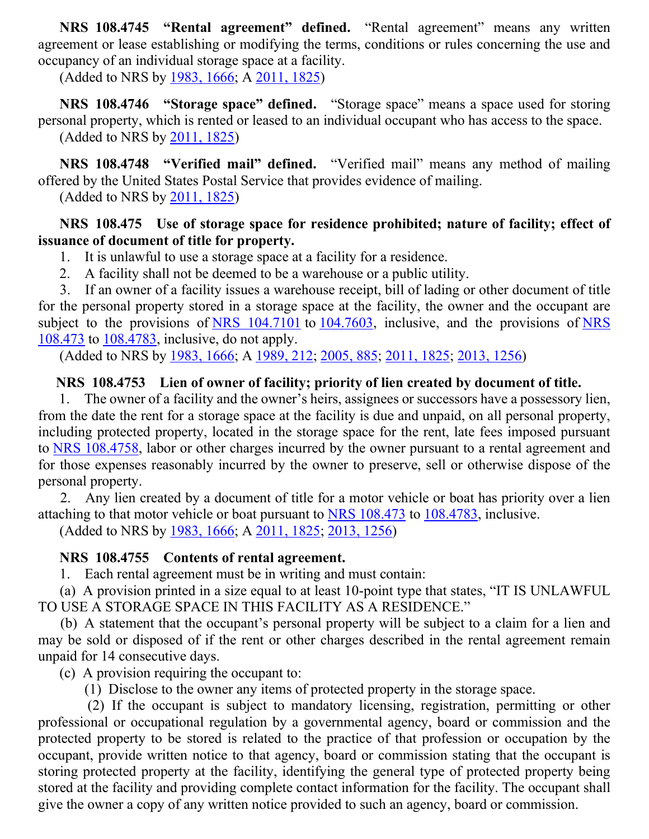**NRS 108.4745 "Rental agreement" defined.** "Rental agreement" means any written agreement or lease establishing or modifying the terms, conditions or rules concerning the use and occupancy of an individual storage space at a facility.

(Added to NRS by [1983, 1666;](https://www.leg.state.nv.us/Statutes/62nd/Stats198307.html#Stats198307page1666) A [2011, 1825\)](https://www.leg.state.nv.us/Statutes/76th2011/Stats201115.html#Stats201115page1825)

 **NRS 108.4746 "Storage space" defined.** "Storage space" means a space used for storing personal property, which is rented or leased to an individual occupant who has access to the space. (Added to NRS by [2011, 1825\)](https://www.leg.state.nv.us/Statutes/76th2011/Stats201115.html#Stats201115page1825)

 **NRS 108.4748 "Verified mail" defined.** "Verified mail" means any method of mailing offered by the United States Postal Service that provides evidence of mailing.

(Added to NRS by [2011, 1825\)](https://www.leg.state.nv.us/Statutes/76th2011/Stats201115.html#Stats201115page1825)

### **NRS 108.475 Use of storage space for residence prohibited; nature of facility; effect of issuance of document of title for property.**

1. It is unlawful to use a storage space at a facility for a residence.

2. A facility shall not be deemed to be a warehouse or a public utility.

3. If an owner of a facility issues a warehouse receipt, bill of lading or other document of title for the personal property stored in a storage space at the facility, the owner and the occupant are subject to the provisions of [NRS 104.7101](https://www.leg.state.nv.us/NRS/NRS-104.html#NRS104Sec7101) to [104.7603,](https://www.leg.state.nv.us/NRS/NRS-104.html#NRS104Sec7603) inclusive, and the provisions of NRS [108.473](https://www.leg.state.nv.us/nrs/nrs-108.html#NRS108Sec473) to [108.4783,](https://www.leg.state.nv.us/nrs/nrs-108.html#NRS108Sec4783) inclusive, do not apply.

(Added to NRS by [1983, 1666;](https://www.leg.state.nv.us/Statutes/62nd/Stats198307.html#Stats198307page1666) A [1989, 212;](https://www.leg.state.nv.us/Statutes/65th/Stats198902.html#Stats198902page212) [2005, 885;](https://www.leg.state.nv.us/Statutes/73rd/Stats200509.html#Stats200509page885) [2011, 1825;](https://www.leg.state.nv.us/Statutes/76th2011/Stats201115.html#Stats201115page1825) [2013, 1256\)](https://www.leg.state.nv.us/Statutes/77th2013/Stats201308.html#Stats201308page1256)

# **NRS 108.4753 Lien of owner of facility; priority of lien created by document of title.**

1. The owner of a facility and the owner's heirs, assignees or successors have a possessory lien, from the date the rent for a storage space at the facility is due and unpaid, on all personal property, including protected property, located in the storage space for the rent, late fees imposed pursuant to [NRS 108.4758,](https://www.leg.state.nv.us/nrs/nrs-108.html#NRS108Sec4758) labor or other charges incurred by the owner pursuant to a rental agreement and for those expenses reasonably incurred by the owner to preserve, sell or otherwise dispose of the personal property.

2. Any lien created by a document of title for a motor vehicle or boat has priority over a lien attaching to that motor vehicle or boat pursuant to [NRS 108.473](https://www.leg.state.nv.us/nrs/nrs-108.html#NRS108Sec473) to [108.4783,](https://www.leg.state.nv.us/nrs/nrs-108.html#NRS108Sec4783) inclusive.

(Added to NRS by [1983, 1666;](https://www.leg.state.nv.us/Statutes/62nd/Stats198307.html#Stats198307page1666) A [2011, 1825;](https://www.leg.state.nv.us/Statutes/76th2011/Stats201115.html#Stats201115page1825) [2013, 1256\)](https://www.leg.state.nv.us/Statutes/77th2013/Stats201308.html#Stats201308page1256)

# **NRS 108.4755 Contents of rental agreement.**

1. Each rental agreement must be in writing and must contain:

(a) A provision printed in a size equal to at least 10-point type that states, "IT IS UNLAWFUL TO USE A STORAGE SPACE IN THIS FACILITY AS A RESIDENCE."

(b) A statement that the occupant's personal property will be subject to a claim for a lien and may be sold or disposed of if the rent or other charges described in the rental agreement remain unpaid for 14 consecutive days.

(c) A provision requiring the occupant to:

(1) Disclose to the owner any items of protected property in the storage space.

(2) If the occupant is subject to mandatory licensing, registration, permitting or other professional or occupational regulation by a governmental agency, board or commission and the protected property to be stored is related to the practice of that profession or occupation by the occupant, provide written notice to that agency, board or commission stating that the occupant is storing protected property at the facility, identifying the general type of protected property being stored at the facility and providing complete contact information for the facility. The occupant shall give the owner a copy of any written notice provided to such an agency, board or commission.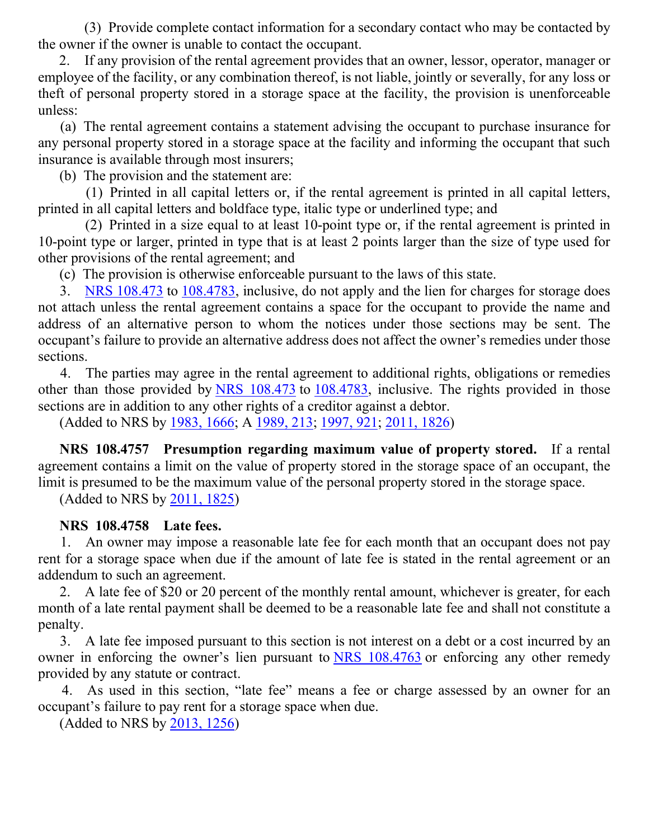(3) Provide complete contact information for a secondary contact who may be contacted by the owner if the owner is unable to contact the occupant.

2. If any provision of the rental agreement provides that an owner, lessor, operator, manager or employee of the facility, or any combination thereof, is not liable, jointly or severally, for any loss or theft of personal property stored in a storage space at the facility, the provision is unenforceable unless:

(a) The rental agreement contains a statement advising the occupant to purchase insurance for any personal property stored in a storage space at the facility and informing the occupant that such insurance is available through most insurers;

(b) The provision and the statement are:

(1) Printed in all capital letters or, if the rental agreement is printed in all capital letters, printed in all capital letters and boldface type, italic type or underlined type; and

(2) Printed in a size equal to at least 10-point type or, if the rental agreement is printed in 10-point type or larger, printed in type that is at least 2 points larger than the size of type used for other provisions of the rental agreement; and

(c) The provision is otherwise enforceable pursuant to the laws of this state.

3. [NRS 108.473](https://www.leg.state.nv.us/nrs/nrs-108.html#NRS108Sec473) to [108.4783,](https://www.leg.state.nv.us/nrs/nrs-108.html#NRS108Sec4783) inclusive, do not apply and the lien for charges for storage does not attach unless the rental agreement contains a space for the occupant to provide the name and address of an alternative person to whom the notices under those sections may be sent. The occupant's failure to provide an alternative address does not affect the owner's remedies under those sections.

4. The parties may agree in the rental agreement to additional rights, obligations or remedies other than those provided by [NRS 108.473](https://www.leg.state.nv.us/nrs/nrs-108.html#NRS108Sec473) to [108.4783,](https://www.leg.state.nv.us/nrs/nrs-108.html#NRS108Sec4783) inclusive. The rights provided in those sections are in addition to any other rights of a creditor against a debtor.

(Added to NRS by [1983, 1666;](https://www.leg.state.nv.us/Statutes/62nd/Stats198307.html#Stats198307page1666) A [1989, 213;](https://www.leg.state.nv.us/Statutes/65th/Stats198902.html#Stats198902page213) [1997, 921;](https://www.leg.state.nv.us/Statutes/69th/Stats199706.html#Stats199706page921) [2011,](https://www.leg.state.nv.us/Statutes/76th2011/Stats201115.html#Stats201115page1826) 1826)

 **NRS 108.4757 Presumption regarding maximum value of property stored.** If a rental agreement contains a limit on the value of property stored in the storage space of an occupant, the limit is presumed to be the maximum value of the personal property stored in the storage space.

(Added to NRS by [2011, 1825\)](https://www.leg.state.nv.us/Statutes/76th2011/Stats201115.html#Stats201115page1825)

#### **NRS 108.4758 Late fees.**

1. An owner may impose a reasonable late fee for each month that an occupant does not pay rent for a storage space when due if the amount of late fee is stated in the rental agreement or an addendum to such an agreement.

2. A late fee of \$20 or 20 percent of the monthly rental amount, whichever is greater, for each month of a late rental payment shall be deemed to be a reasonable late fee and shall not constitute a penalty.

3. A late fee imposed pursuant to this section is not interest on a debt or a cost incurred by an owner in enforcing the owner's lien pursuant to [NRS 108.4763](https://www.leg.state.nv.us/nrs/nrs-108.html#NRS108Sec4763) or enforcing any other remedy provided by any statute or contract.

4. As used in this section, "late fee" means a fee or charge assessed by an owner for an occupant's failure to pay rent for a storage space when due.

(Added to NRS by [2013, 1256\)](https://www.leg.state.nv.us/Statutes/77th2013/Stats201308.html#Stats201308page1256)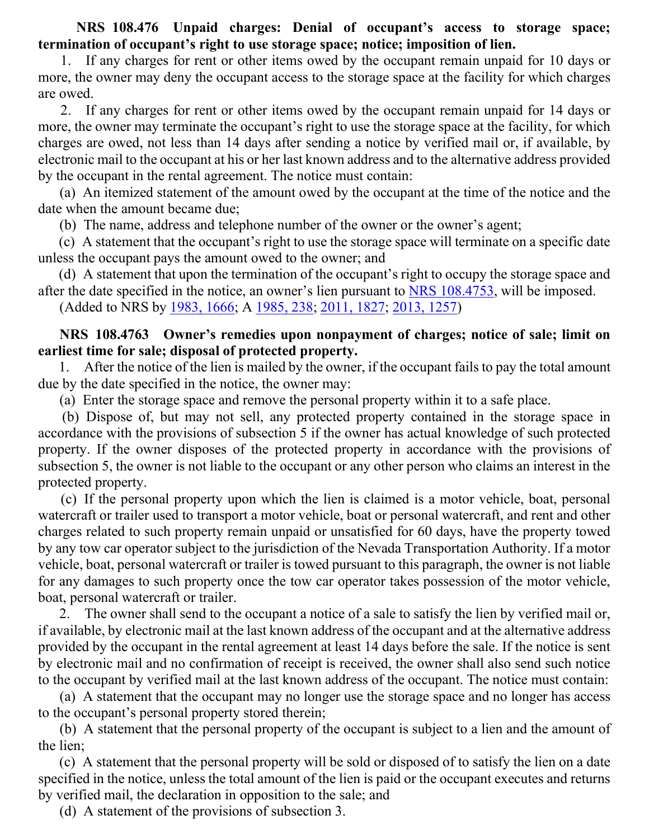**NRS 108.476 Unpaid charges: Denial of occupant's access to storage space; termination of occupant's right to use storage space; notice; imposition of lien.**

If any charges for rent or other items owed by the occupant remain unpaid for 10 days or more, the owner may deny the occupant access to the storage space at the facility for which charges are owed.

2. If any charges for rent or other items owed by the occupant remain unpaid for 14 days or more, the owner may terminate the occupant's right to use the storage space at the facility, for which charges are owed, not less than 14 days after sending a notice by verified mail or, if available, by electronic mail to the occupant at his or her last known address and to the alternative address provided by the occupant in the rental agreement. The notice must contain:

(a) An itemized statement of the amount owed by the occupant at the time of the notice and the date when the amount became due;

(b) The name, address and telephone number of the owner or the owner's agent;

(c) A statement that the occupant's right to use the storage space will terminate on a specific date unless the occupant pays the amount owed to the owner; and

(d) A statement that upon the termination of the occupant's right to occupy the storage space and after the date specified in the notice, an owner's lien pursuant to [NRS 108.4753,](https://www.leg.state.nv.us/nrs/nrs-108.html#NRS108Sec4753) will be imposed.

(Added to NRS by [1983, 1666;](https://www.leg.state.nv.us/Statutes/62nd/Stats198307.html#Stats198307page1666) A [1985, 238;](https://www.leg.state.nv.us/Statutes/63rd/Stats198501.html#Stats198501page238) [2011, 1827;](https://www.leg.state.nv.us/Statutes/76th2011/Stats201115.html#Stats201115page1827) [2013, 1257\)](https://www.leg.state.nv.us/Statutes/77th2013/Stats201308.html#Stats201308page1257)

### **NRS 108.4763 Owner's remedies upon nonpayment of charges; notice of sale; limit on earliest time for sale; disposal of protected property.**

1. After the notice of the lien is mailed by the owner, if the occupant fails to pay the total amount due by the date specified in the notice, the owner may:

(a) Enter the storage space and remove the personal property within it to a safe place.

(b) Dispose of, but may not sell, any protected property contained in the storage space in accordance with the provisions of subsection 5 if the owner has actual knowledge of such protected property. If the owner disposes of the protected property in accordance with the provisions of subsection 5, the owner is not liable to the occupant or any other person who claims an interest in the protected property.

(c) If the personal property upon which the lien is claimed is a motor vehicle, boat, personal watercraft or trailer used to transport a motor vehicle, boat or personal watercraft, and rent and other charges related to such property remain unpaid or unsatisfied for 60 days, have the property towed by any tow car operator subject to the jurisdiction of the Nevada Transportation Authority. If a motor vehicle, boat, personal watercraft or trailer is towed pursuant to this paragraph, the owner is not liable for any damages to such property once the tow car operator takes possession of the motor vehicle, boat, personal watercraft or trailer.

2. The owner shall send to the occupant a notice of a sale to satisfy the lien by verified mail or, if available, by electronic mail at the last known address of the occupant and at the alternative address provided by the occupant in the rental agreement at least 14 days before the sale. If the notice is sent by electronic mail and no confirmation of receipt is received, the owner shall also send such notice to the occupant by verified mail at the last known address of the occupant. The notice must contain:

(a) A statement that the occupant may no longer use the storage space and no longer has access to the occupant's personal property stored therein;

(b) A statement that the personal property of the occupant is subject to a lien and the amount of the lien;

(c) A statement that the personal property will be sold or disposed of to satisfy the lien on a date specified in the notice, unless the total amount of the lien is paid or the occupant executes and returns by verified mail, the declaration in opposition to the sale; and

(d) A statement of the provisions of subsection 3.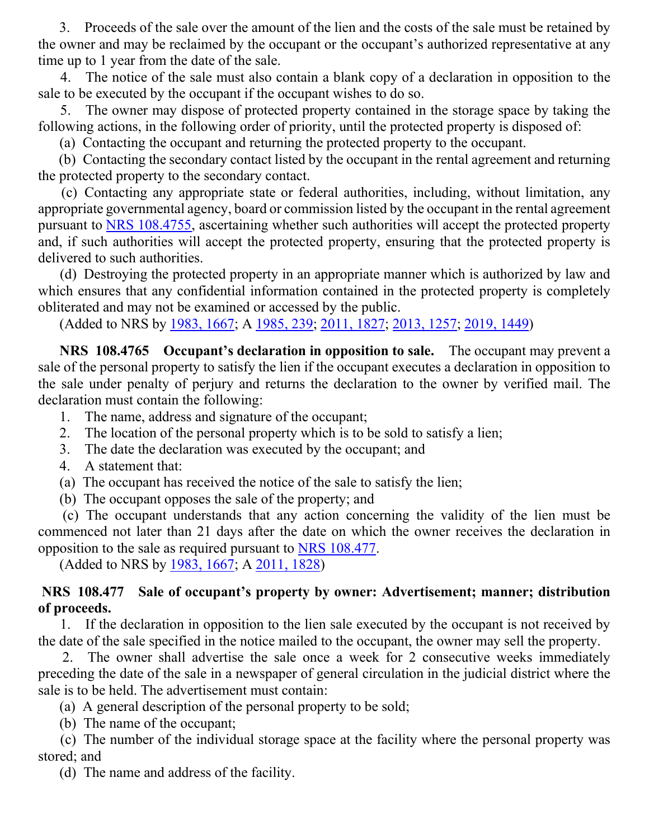3. Proceeds of the sale over the amount of the lien and the costs of the sale must be retained by the owner and may be reclaimed by the occupant or the occupant's authorized representative at any time up to 1 year from the date of the sale.

 4. The notice of the sale must also contain a blank copy of a declaration in opposition to the sale to be executed by the occupant if the occupant wishes to do so.

 5. The owner may dispose of protected property contained in the storage space by taking the following actions, in the following order of priority, until the protected property is disposed of:

(a) Contacting the occupant and returning the protected property to the occupant.

 (b) Contacting the secondary contact listed by the occupant in the rental agreement and returning the protected property to the secondary contact.

 (c) Contacting any appropriate state or federal authorities, including, without limitation, any appropriate governmental agency, board or commission listed by the occupant in the rental agreement pursuant to [NRS 108.4755,](https://www.leg.state.nv.us/nrs/nrs-108.html#NRS108Sec4755) ascertaining whether such authorities will accept the protected property and, if such authorities will accept the protected property, ensuring that the protected property is delivered to such authorities.

 (d) Destroying the protected property in an appropriate manner which is authorized by law and which ensures that any confidential information contained in the protected property is completely obliterated and may not be examined or accessed by the public.

(Added to NRS by [1983, 1667;](https://www.leg.state.nv.us/Statutes/62nd/Stats198307.html#Stats198307page1667) A [1985, 239;](https://www.leg.state.nv.us/Statutes/63rd/Stats198501.html#Stats198501page239) [2011, 1827;](https://www.leg.state.nv.us/Statutes/76th2011/Stats201115.html#Stats201115page1827) [2013, 1257;](https://www.leg.state.nv.us/Statutes/77th2013/Stats201308.html#Stats201308page1257) [2019, 1449\)](https://www.leg.state.nv.us/Statutes/80th2019/Stats201908.html#Stats201908page1449)

 **NRS 108.4765 Occupant's declaration in opposition to sale.** The occupant may prevent a sale of the personal property to satisfy the lien if the occupant executes a declaration in opposition to the sale under penalty of perjury and returns the declaration to the owner by verified mail. The declaration must contain the following:

- 1. The name, address and signature of the occupant;
- 2. The location of the personal property which is to be sold to satisfy a lien;
- 3. The date the declaration was executed by the occupant; and
- 4. A statement that:
- (a) The occupant has received the notice of the sale to satisfy the lien;
- (b) The occupant opposes the sale of the property; and

 (c) The occupant understands that any action concerning the validity of the lien must be commenced not later than 21 days after the date on which the owner receives the declaration in opposition to the sale as required pursuant to [NRS 108.477.](https://www.leg.state.nv.us/nrs/nrs-108.html#NRS108Sec477)

(Added to NRS by [1983, 1667;](https://www.leg.state.nv.us/Statutes/62nd/Stats198307.html#Stats198307page1667) A [2011, 1828\)](https://www.leg.state.nv.us/Statutes/76th2011/Stats201115.html#Stats201115page1828)

## **NRS 108.477 Sale of occupant's property by owner: Advertisement; manner; distribution of proceeds.**

 1. If the declaration in opposition to the lien sale executed by the occupant is not received by the date of the sale specified in the notice mailed to the occupant, the owner may sell the property.

 2. The owner shall advertise the sale once a week for 2 consecutive weeks immediately preceding the date of the sale in a newspaper of general circulation in the judicial district where the sale is to be held. The advertisement must contain:

(a) A general description of the personal property to be sold;

(b) The name of the occupant;

 (c) The number of the individual storage space at the facility where the personal property was stored; and

(d) The name and address of the facility.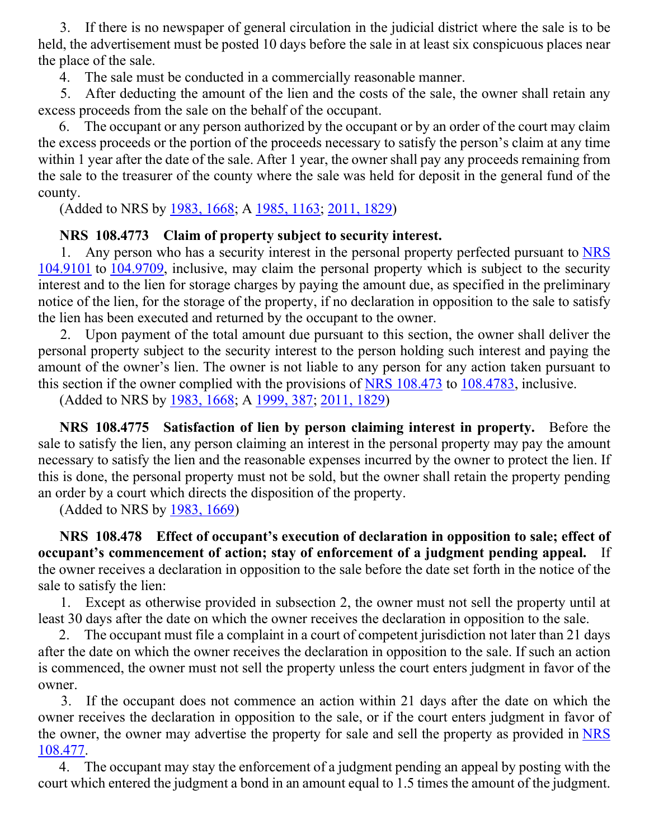3. If there is no newspaper of general circulation in the judicial district where the sale is to be held, the advertisement must be posted 10 days before the sale in at least six conspicuous places near the place of the sale.

4. The sale must be conducted in a commercially reasonable manner.

 5. After deducting the amount of the lien and the costs of the sale, the owner shall retain any excess proceeds from the sale on the behalf of the occupant.

 6. The occupant or any person authorized by the occupant or by an order of the court may claim the excess proceeds or the portion of the proceeds necessary to satisfy the person's claim at any time within 1 year after the date of the sale. After 1 year, the owner shall pay any proceeds remaining from the sale to the treasurer of the county where the sale was held for deposit in the general fund of the county.

(Added to NRS by [1983, 1668;](https://www.leg.state.nv.us/Statutes/62nd/Stats198307.html#Stats198307page1668) A [1985, 1163;](https://www.leg.state.nv.us/Statutes/63rd/Stats198505.html#Stats198505page1163) [2011, 1829\)](https://www.leg.state.nv.us/Statutes/76th2011/Stats201115.html#Stats201115page1829)

## **NRS 108.4773 Claim of property subject to security interest.**

 1. Any person who has a security interest in the personal property perfected pursuant to [NRS](https://www.leg.state.nv.us/NRS/NRS-104.html#NRS104Sec9101)  [104.9101](https://www.leg.state.nv.us/NRS/NRS-104.html#NRS104Sec9101) to [104.9709,](https://www.leg.state.nv.us/NRS/NRS-104.html#NRS104Sec9709) inclusive, may claim the personal property which is subject to the security interest and to the lien for storage charges by paying the amount due, as specified in the preliminary notice of the lien, for the storage of the property, if no declaration in opposition to the sale to satisfy the lien has been executed and returned by the occupant to the owner.

 2. Upon payment of the total amount due pursuant to this section, the owner shall deliver the personal property subject to the security interest to the person holding such interest and paying the amount of the owner's lien. The owner is not liable to any person for any action taken pursuant to this section if the owner complied with the provisions of  $NRS$  108.473 to [108.4783,](https://www.leg.state.nv.us/nrs/nrs-108.html#NRS108Sec4783) inclusive.

(Added to NRS by [1983, 1668;](https://www.leg.state.nv.us/Statutes/62nd/Stats198307.html#Stats198307page1668) A [1999, 387;](https://www.leg.state.nv.us/Statutes/70th/Stats199903.html#Stats199903page387) [2011, 1829\)](https://www.leg.state.nv.us/Statutes/76th2011/Stats201115.html#Stats201115page1829)

 **NRS 108.4775 Satisfaction of lien by person claiming interest in property.** Before the sale to satisfy the lien, any person claiming an interest in the personal property may pay the amount necessary to satisfy the lien and the reasonable expenses incurred by the owner to protect the lien. If this is done, the personal property must not be sold, but the owner shall retain the property pending an order by a court which directs the disposition of the property.

(Added to NRS by [1983, 1669\)](https://www.leg.state.nv.us/Statutes/62nd/Stats198307.html#Stats198307page1669)

 **NRS 108.478 Effect of occupant's execution of declaration in opposition to sale; effect of occupant's commencement of action; stay of enforcement of a judgment pending appeal.** If the owner receives a declaration in opposition to the sale before the date set forth in the notice of the sale to satisfy the lien:

 1. Except as otherwise provided in subsection 2, the owner must not sell the property until at least 30 days after the date on which the owner receives the declaration in opposition to the sale.

 2. The occupant must file a complaint in a court of competent jurisdiction not later than 21 days after the date on which the owner receives the declaration in opposition to the sale. If such an action is commenced, the owner must not sell the property unless the court enters judgment in favor of the owner.

 3. If the occupant does not commence an action within 21 days after the date on which the owner receives the declaration in opposition to the sale, or if the court enters judgment in favor of the owner, the owner may advertise the property for sale and sell the property as provided in [NRS](https://www.leg.state.nv.us/nrs/nrs-108.html#NRS108Sec477)  [108.477.](https://www.leg.state.nv.us/nrs/nrs-108.html#NRS108Sec477)

 4. The occupant may stay the enforcement of a judgment pending an appeal by posting with the court which entered the judgment a bond in an amount equal to 1.5 times the amount of the judgment.